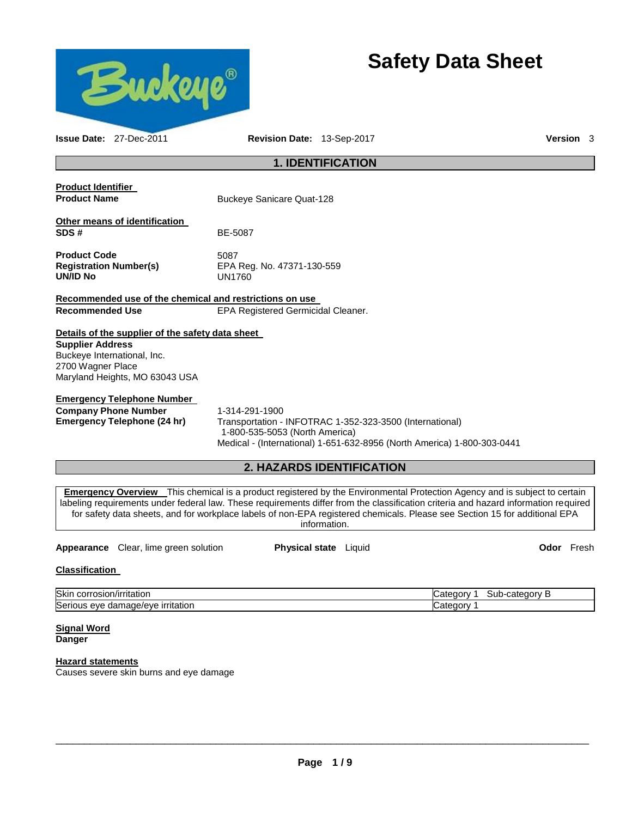

# **Safety Data Sheet**

|                                              | <b>Issue Date: 27-Dec-2011</b>                                | Revision Date: 13-Sep-2017                                                                                                                                                                                                                                                                                                                                                                            | <b>Version</b> 3 |
|----------------------------------------------|---------------------------------------------------------------|-------------------------------------------------------------------------------------------------------------------------------------------------------------------------------------------------------------------------------------------------------------------------------------------------------------------------------------------------------------------------------------------------------|------------------|
|                                              |                                                               | <b>1. IDENTIFICATION</b>                                                                                                                                                                                                                                                                                                                                                                              |                  |
| <b>Product Identifier</b>                    |                                                               |                                                                                                                                                                                                                                                                                                                                                                                                       |                  |
| <b>Product Name</b>                          |                                                               | <b>Buckeye Sanicare Quat-128</b>                                                                                                                                                                                                                                                                                                                                                                      |                  |
|                                              | Other means of identification                                 |                                                                                                                                                                                                                                                                                                                                                                                                       |                  |
| SDS#                                         |                                                               | BE-5087                                                                                                                                                                                                                                                                                                                                                                                               |                  |
| <b>Product Code</b><br>UN/ID No              | <b>Registration Number(s)</b>                                 | 5087<br>EPA Reg. No. 47371-130-559<br><b>UN1760</b>                                                                                                                                                                                                                                                                                                                                                   |                  |
|                                              |                                                               | Recommended use of the chemical and restrictions on use                                                                                                                                                                                                                                                                                                                                               |                  |
| <b>Recommended Use</b>                       |                                                               | EPA Registered Germicidal Cleaner.                                                                                                                                                                                                                                                                                                                                                                    |                  |
|                                              | Details of the supplier of the safety data sheet              |                                                                                                                                                                                                                                                                                                                                                                                                       |                  |
| <b>Supplier Address</b><br>2700 Wagner Place | Buckeye International, Inc.<br>Maryland Heights, MO 63043 USA |                                                                                                                                                                                                                                                                                                                                                                                                       |                  |
|                                              | <b>Emergency Telephone Number</b>                             |                                                                                                                                                                                                                                                                                                                                                                                                       |                  |
|                                              | <b>Company Phone Number</b><br>Emergency Telephone (24 hr)    | 1-314-291-1900<br>Transportation - INFOTRAC 1-352-323-3500 (International)<br>1-800-535-5053 (North America)<br>Medical - (International) 1-651-632-8956 (North America) 1-800-303-0441                                                                                                                                                                                                               |                  |
|                                              |                                                               | <b>2. HAZARDS IDENTIFICATION</b>                                                                                                                                                                                                                                                                                                                                                                      |                  |
|                                              |                                                               | <b>Emergency Overview</b> This chemical is a product registered by the Environmental Protection Agency and is subject to certain<br>labeling requirements under federal law. These requirements differ from the classification criteria and hazard information required<br>for safety data sheets, and for workplace labels of non-EPA registered chemicals. Please see Section 15 for additional EPA |                  |

**Appearance** Clear, lime green solution **Physical state** Liquid **COD Physical state CO Physical state C COD Physical state C COD COD C COD C COD C COD C COD C COD C C C C C C** 

information.

# **Classification**

| <b>Skir</b>                                                                  | ∙cateɑorv        |
|------------------------------------------------------------------------------|------------------|
| n/irritatior                                                                 | ∶ateɑor∖         |
| $\sim$                                                                       | Sub-             |
| corrosion                                                                    | . .              |
| <b>Seri</b><br><b>irritation</b><br>ade/eve a<br>1 I C<br>eve<br>aar<br>1993 | ------<br>`oter∴ |

### **Signal Word Danger**

# **Hazard statements**

Causes severe skin burns and eye damage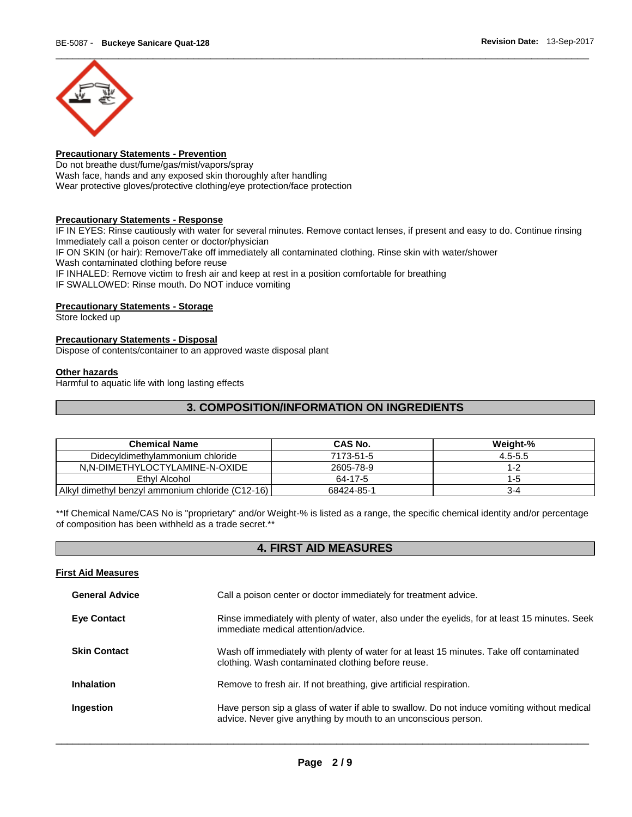

# **Precautionary Statements - Prevention**

Do not breathe dust/fume/gas/mist/vapors/spray Wash face, hands and any exposed skin thoroughly after handling Wear protective gloves/protective clothing/eye protection/face protection

# **Precautionary Statements - Response**

IF IN EYES: Rinse cautiously with water for several minutes. Remove contact lenses, if present and easy to do. Continue rinsing Immediately call a poison center or doctor/physician IF ON SKIN (or hair): Remove/Take off immediately all contaminated clothing. Rinse skin with water/shower Wash contaminated clothing before reuse IF INHALED: Remove victim to fresh air and keep at rest in a position comfortable for breathing IF SWALLOWED: Rinse mouth. Do NOT induce vomiting

# **Precautionary Statements - Storage**

Store locked up

# **Precautionary Statements - Disposal**

Dispose of contents/container to an approved waste disposal plant

## **Other hazards**

Harmful to aquatic life with long lasting effects

# **3. COMPOSITION/INFORMATION ON INGREDIENTS**

| <b>Chemical Name</b>                             | CAS No.    | Weight-%    |
|--------------------------------------------------|------------|-------------|
| Didecyldimethylammonium chloride                 | 7173-51-5  | $4.5 - 5.5$ |
| N.N-DIMETHYLOCTYLAMINE-N-OXIDE                   | 2605-78-9  | 1-2         |
| Ethyl Alcohol                                    | 64-17-5    | 1-5         |
| Alkyl dimethyl benzyl ammonium chloride (C12-16) | 68424-85-1 | 3-4         |

\*\*If Chemical Name/CAS No is "proprietary" and/or Weight-% is listed as a range, the specific chemical identity and/or percentage of composition has been withheld as a trade secret.\*\*

# **4. FIRST AID MEASURES**

| <b>First Aid Measures</b> |                                                                                                                                                               |
|---------------------------|---------------------------------------------------------------------------------------------------------------------------------------------------------------|
| <b>General Advice</b>     | Call a poison center or doctor immediately for treatment advice.                                                                                              |
| <b>Eye Contact</b>        | Rinse immediately with plenty of water, also under the eyelids, for at least 15 minutes. Seek<br>immediate medical attention/advice.                          |
| <b>Skin Contact</b>       | Wash off immediately with plenty of water for at least 15 minutes. Take off contaminated<br>clothing. Wash contaminated clothing before reuse.                |
| Inhalation                | Remove to fresh air. If not breathing, give artificial respiration.                                                                                           |
| Ingestion                 | Have person sip a glass of water if able to swallow. Do not induce vomiting without medical<br>advice. Never give anything by mouth to an unconscious person. |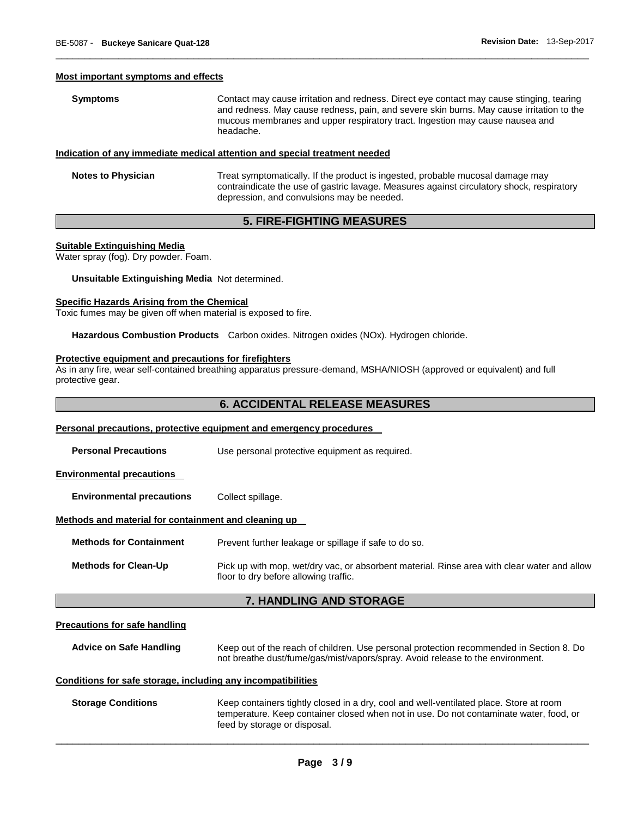#### **Most important symptoms and effects**

**Symptoms Contact may cause irritation and redness. Direct eye contact may cause stinging, tearing** and redness. May cause redness, pain, and severe skin burns. May cause irritation to the mucous membranes and upper respiratory tract. Ingestion may cause nausea and headache.

\_\_\_\_\_\_\_\_\_\_\_\_\_\_\_\_\_\_\_\_\_\_\_\_\_\_\_\_\_\_\_\_\_\_\_\_\_\_\_\_\_\_\_\_\_\_\_\_\_\_\_\_\_\_\_\_\_\_\_\_\_\_\_\_\_\_\_\_\_\_\_\_\_\_\_\_\_\_\_\_\_\_\_\_\_\_\_\_\_\_\_\_\_

# **Indication of any immediate medical attention and special treatment needed**

**Notes to Physician** Treat symptomatically. If the product is ingested, probable mucosal damage may contraindicate the use of gastric lavage. Measures against circulatory shock, respiratory depression, and convulsions may be needed.

# **5. FIRE-FIGHTING MEASURES**

# **Suitable Extinguishing Media**

Water spray (fog). Dry powder. Foam.

# **Unsuitable Extinguishing Media** Not determined.

#### **Specific Hazards Arising from the Chemical**

Toxic fumes may be given off when material is exposed to fire.

**Hazardous Combustion Products** Carbon oxides. Nitrogen oxides (NOx). Hydrogen chloride.

#### **Protective equipment and precautions for firefighters**

As in any fire, wear self-contained breathing apparatus pressure-demand, MSHA/NIOSH (approved or equivalent) and full protective gear.

# **6. ACCIDENTAL RELEASE MEASURES**

# **Personal precautions, protective equipment and emergency procedures**

**Personal Precautions** Use personal protective equipment as required.

#### **Environmental precautions**

**Environmental precautions** Collect spillage.

#### **Methods and material for containment and cleaning up**

**Methods for Containment** Prevent further leakage or spillage if safe to do so.

**Methods for Clean-Up** Pick up with mop, wet/dry vac, or absorbent material. Rinse area with clear water and allow floor to dry before allowing traffic.

# **7. HANDLING AND STORAGE**

#### **Precautions for safe handling**

**Advice on Safe Handling** Keep out of the reach of children. Use personal protection recommended in Section 8. Do not breathe dust/fume/gas/mist/vapors/spray. Avoid release to the environment.

#### **Conditions for safe storage, including any incompatibilities**

**Storage Conditions** Keep containers tightly closed in a dry, cool and well-ventilated place. Store at room temperature. Keep container closed when not in use. Do not contaminate water, food, or feed by storage or disposal.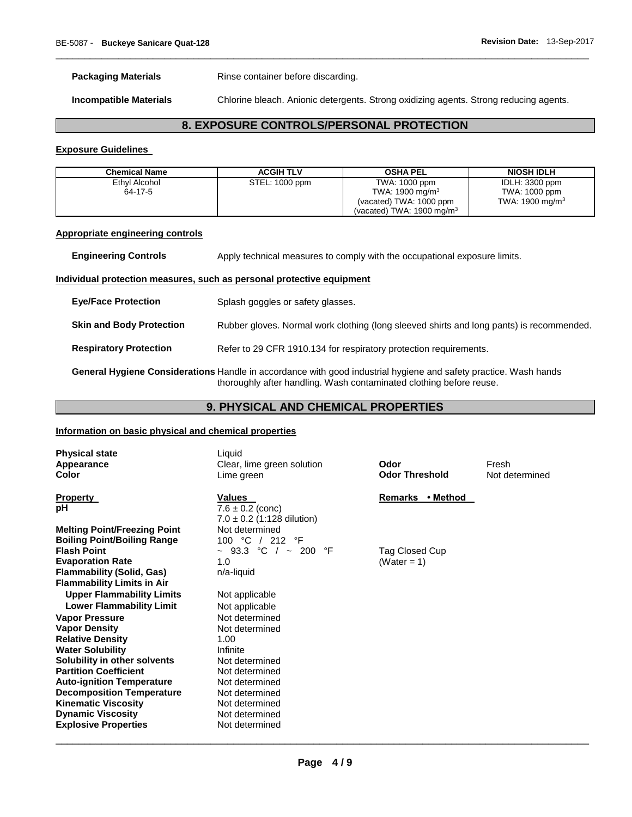**Packaging Materials Rinse container before discarding.** 

**Incompatible Materials** Chlorine bleach. Anionic detergents. Strong oxidizing agents. Strong reducing agents.

# **8. EXPOSURE CONTROLS/PERSONAL PROTECTION**

\_\_\_\_\_\_\_\_\_\_\_\_\_\_\_\_\_\_\_\_\_\_\_\_\_\_\_\_\_\_\_\_\_\_\_\_\_\_\_\_\_\_\_\_\_\_\_\_\_\_\_\_\_\_\_\_\_\_\_\_\_\_\_\_\_\_\_\_\_\_\_\_\_\_\_\_\_\_\_\_\_\_\_\_\_\_\_\_\_\_\_\_\_

# **Exposure Guidelines**

| Chemical Name | <b>ACGIH TLV</b> | <b>OSHA PEL</b>                      | <b>NIOSH IDLH</b>  |
|---------------|------------------|--------------------------------------|--------------------|
| Ethyl Alcohol | STEL: 1000 ppm   | TWA: 1000 ppm                        | IDLH: 3300 ppm     |
| 64-17-5       |                  | TWA: $1900 \text{ mg/m}^3$           | TWA: 1000 ppm      |
|               |                  | (vacated) TWA: 1000 ppm              | TWA: 1900 mg/m $3$ |
|               |                  | (vacated) TWA: $1900 \text{ mg/m}^3$ |                    |

# **Appropriate engineering controls**

**Engineering Controls Apply technical measures to comply with the occupational exposure limits.** 

# **Individual protection measures, such as personal protective equipment**

| <b>Eye/Face Protection</b>      | Splash goggles or safety glasses.                                                        |
|---------------------------------|------------------------------------------------------------------------------------------|
| <b>Skin and Body Protection</b> | Rubber gloves. Normal work clothing (long sleeved shirts and long pants) is recommended. |
| <b>Respiratory Protection</b>   | Refer to 29 CFR 1910.134 for respiratory protection requirements.                        |

**General Hygiene Considerations** Handle in accordance with good industrial hygiene and safety practice. Wash hands thoroughly after handling. Wash contaminated clothing before reuse.

# **9. PHYSICAL AND CHEMICAL PROPERTIES**

# **Information on basic physical and chemical properties**

| <b>Physical state</b><br>Appearance<br><b>Color</b> | Liquid<br>Clear, lime green solution<br>Lime green               | Odor<br><b>Odor Threshold</b> | Fresh<br>Not determined |
|-----------------------------------------------------|------------------------------------------------------------------|-------------------------------|-------------------------|
| <b>Property</b><br>рH                               | Values<br>$7.6 \pm 0.2$ (conc)<br>$7.0 \pm 0.2$ (1:128 dilution) | • Method<br>Remarks           |                         |
| <b>Melting Point/Freezing Point</b>                 | Not determined                                                   |                               |                         |
| <b>Boiling Point/Boiling Range</b>                  | 100 °C / 212<br>°F                                               |                               |                         |
| <b>Flash Point</b>                                  | $\sim$ 93.3 °C / $\sim$ 200 °F                                   | Tag Closed Cup                |                         |
| <b>Evaporation Rate</b>                             | 1.0                                                              | (Water = 1)                   |                         |
| <b>Flammability (Solid, Gas)</b>                    | n/a-liquid                                                       |                               |                         |
| <b>Flammability Limits in Air</b>                   |                                                                  |                               |                         |
| <b>Upper Flammability Limits</b>                    | Not applicable                                                   |                               |                         |
| <b>Lower Flammability Limit</b>                     | Not applicable                                                   |                               |                         |
| <b>Vapor Pressure</b>                               | Not determined                                                   |                               |                         |
| <b>Vapor Density</b><br><b>Relative Density</b>     | Not determined<br>1.00                                           |                               |                         |
| <b>Water Solubility</b>                             | Infinite                                                         |                               |                         |
| Solubility in other solvents                        | Not determined                                                   |                               |                         |
| <b>Partition Coefficient</b>                        | Not determined                                                   |                               |                         |
| <b>Auto-ignition Temperature</b>                    | Not determined                                                   |                               |                         |
| <b>Decomposition Temperature</b>                    | Not determined                                                   |                               |                         |
| <b>Kinematic Viscosity</b>                          | Not determined                                                   |                               |                         |
| <b>Dynamic Viscosity</b>                            | Not determined                                                   |                               |                         |
| <b>Explosive Properties</b>                         | Not determined                                                   |                               |                         |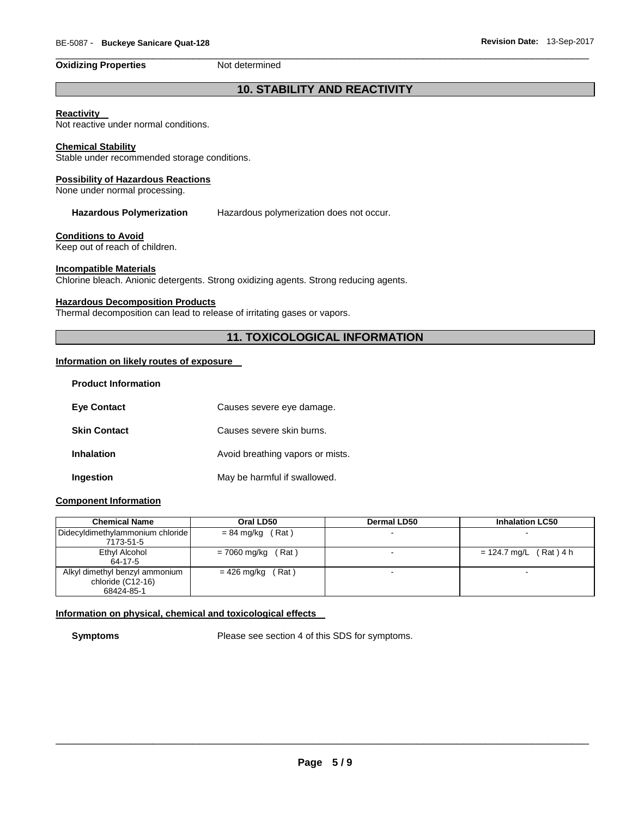# **Oxidizing Properties Not determined**

\_\_\_\_\_\_\_\_\_\_\_\_\_\_\_\_\_\_\_\_\_\_\_\_\_\_\_\_\_\_\_\_\_\_\_\_\_\_\_\_\_\_\_\_\_\_\_\_\_\_\_\_\_\_\_\_\_\_\_\_\_\_\_\_\_\_\_\_\_\_\_\_\_\_\_\_\_\_\_\_\_\_\_\_\_\_\_\_\_\_\_\_\_

# **10. STABILITY AND REACTIVITY**

# **Reactivity**

Not reactive under normal conditions.

# **Chemical Stability**

Stable under recommended storage conditions.

# **Possibility of Hazardous Reactions**

None under normal processing.

**Hazardous Polymerization** Hazardous polymerization does not occur.

# **Conditions to Avoid**

Keep out of reach of children.

# **Incompatible Materials**

Chlorine bleach. Anionic detergents. Strong oxidizing agents. Strong reducing agents.

# **Hazardous Decomposition Products**

Thermal decomposition can lead to release of irritating gases or vapors.

# **11. TOXICOLOGICAL INFORMATION**

# **Information on likely routes of exposure**

| <b>Product Information</b> |                                  |
|----------------------------|----------------------------------|
| <b>Eve Contact</b>         | Causes severe eye damage.        |
| <b>Skin Contact</b>        | Causes severe skin burns.        |
| Inhalation                 | Avoid breathing vapors or mists. |
| Ingestion                  | May be harmful if swallowed.     |

# **Component Information**

| <b>Chemical Name</b>             | Oral LD50               | <b>Dermal LD50</b> | <b>Inhalation LC50</b>   |
|----------------------------------|-------------------------|--------------------|--------------------------|
| Didecyldimethylammonium chloride | $= 84$ mg/kg (Rat)      |                    |                          |
| 7173-51-5                        |                         |                    |                          |
| Ethyl Alcohol                    | (Rat)<br>$= 7060$ mg/kg |                    | $= 124.7$ mg/L (Rat) 4 h |
| 64-17-5                          |                         |                    |                          |
| Alkyl dimethyl benzyl ammonium   | Rat)<br>= 426 mg/kg     |                    |                          |
| chloride (C12-16)                |                         |                    |                          |
| 68424-85-1                       |                         |                    |                          |

# **Information on physical, chemical and toxicological effects**

**Symptoms** Please see section 4 of this SDS for symptoms.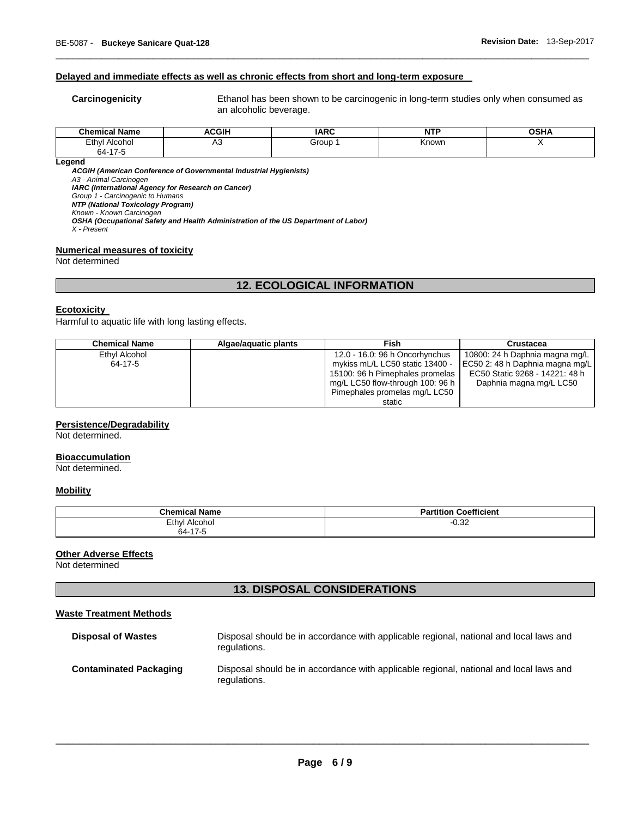# **Delayed and immediate effects as well as chronic effects from short and long-term exposure**

**Carcinogenicity** Ethanol has been shown to be carcinogenic in long-term studies only when consumed as an alcoholic beverage.

| <b>Chemical Name</b>  | <b>ACGIH</b> | <b>IARC</b> | ----<br>N | OSHA |
|-----------------------|--------------|-------------|-----------|------|
| Ethyl<br>Alcohol<br>. | יר           | Group       | Known     |      |
| 64-17-5<br>$\sim$     |              |             |           |      |

\_\_\_\_\_\_\_\_\_\_\_\_\_\_\_\_\_\_\_\_\_\_\_\_\_\_\_\_\_\_\_\_\_\_\_\_\_\_\_\_\_\_\_\_\_\_\_\_\_\_\_\_\_\_\_\_\_\_\_\_\_\_\_\_\_\_\_\_\_\_\_\_\_\_\_\_\_\_\_\_\_\_\_\_\_\_\_\_\_\_\_\_\_

**Legend** 

*ACGIH (American Conference of Governmental Industrial Hygienists)*

*A3 - Animal Carcinogen IARC (International Agency for Research on Cancer)*

*Group 1 - Carcinogenic to Humans* 

*NTP (National Toxicology Program)*

*Known - Known Carcinogen* 

*OSHA (Occupational Safety and Health Administration of the US Department of Labor)*

*X - Present* 

# **Numerical measures of toxicity**

Not determined

# **12. ECOLOGICAL INFORMATION**

#### **Ecotoxicity**

Harmful to aquatic life with long lasting effects.

| <b>Chemical Name</b> | Algae/aguatic plants | Fish                             | <b>Crustacea</b>                |
|----------------------|----------------------|----------------------------------|---------------------------------|
| Ethyl Alcohol        |                      | 12.0 - 16.0: 96 h Oncorhynchus   | 10800: 24 h Daphnia magna mg/L  |
| 64-17-5              |                      | mykiss mL/L LC50 static 13400 -  | EC50 2: 48 h Daphnia magna mg/L |
|                      |                      | 15100: 96 h Pimephales promelas  | EC50 Static 9268 - 14221: 48 h  |
|                      |                      | mg/L LC50 flow-through 100: 96 h | Daphnia magna mg/L LC50         |
|                      |                      | Pimephales promelas mg/L LC50    |                                 |
|                      |                      | static                           |                                 |

# **Persistence/Degradability**

Not determined.

#### **Bioaccumulation**

Not determined.

#### **Mobility**

| <b>Chemical Name</b>                   | .<br>Coefficient<br>tition |
|----------------------------------------|----------------------------|
| <b>Ethyl Alcohol</b>                   | $\sim$ 0.0<br>-∪.ა∠        |
| 64-17-5<br>$\sim$ $\sim$ $\sim$ $\sim$ |                            |

### **Other Adverse Effects**

Not determined

# **13. DISPOSAL CONSIDERATIONS**

# **Waste Treatment Methods**

| <b>Disposal of Wastes</b>     | Disposal should be in accordance with applicable regional, national and local laws and<br>regulations. |
|-------------------------------|--------------------------------------------------------------------------------------------------------|
| <b>Contaminated Packaging</b> | Disposal should be in accordance with applicable regional, national and local laws and<br>regulations. |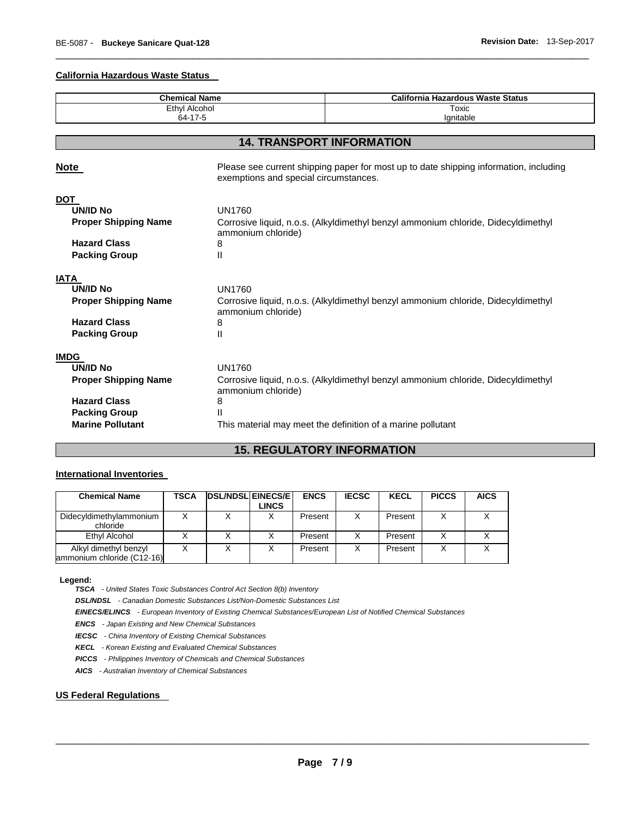# **California Hazardous Waste Status**

| <b>Chemical Name</b><br><b>Ethyl Alcohol</b><br>64-17-5 |                                                                                                                                | <b>California Hazardous Waste Status</b>                                          |  |  |  |
|---------------------------------------------------------|--------------------------------------------------------------------------------------------------------------------------------|-----------------------------------------------------------------------------------|--|--|--|
|                                                         |                                                                                                                                | Toxic                                                                             |  |  |  |
|                                                         |                                                                                                                                | Ignitable                                                                         |  |  |  |
|                                                         |                                                                                                                                |                                                                                   |  |  |  |
|                                                         |                                                                                                                                | <b>14. TRANSPORT INFORMATION</b>                                                  |  |  |  |
| <u>Note</u>                                             | Please see current shipping paper for most up to date shipping information, including<br>exemptions and special circumstances. |                                                                                   |  |  |  |
| <b>DOT</b>                                              |                                                                                                                                |                                                                                   |  |  |  |
| <b>UN/ID No</b>                                         | <b>UN1760</b>                                                                                                                  |                                                                                   |  |  |  |
| <b>Proper Shipping Name</b>                             | Corrosive liquid, n.o.s. (Alkyldimethyl benzyl ammonium chloride, Didecyldimethyl<br>ammonium chloride)                        |                                                                                   |  |  |  |
| <b>Hazard Class</b>                                     | 8                                                                                                                              |                                                                                   |  |  |  |
| <b>Packing Group</b>                                    | Ш                                                                                                                              |                                                                                   |  |  |  |
| <b>IATA</b>                                             |                                                                                                                                |                                                                                   |  |  |  |
| <b>UN/ID No</b>                                         | <b>UN1760</b>                                                                                                                  |                                                                                   |  |  |  |
| <b>Proper Shipping Name</b>                             | Corrosive liquid, n.o.s. (Alkyldimethyl benzyl ammonium chloride, Didecyldimethyl<br>ammonium chloride)                        |                                                                                   |  |  |  |
| <b>Hazard Class</b>                                     | 8                                                                                                                              |                                                                                   |  |  |  |
| <b>Packing Group</b>                                    | $\mathsf{II}$                                                                                                                  |                                                                                   |  |  |  |
| <b>IMDG</b>                                             |                                                                                                                                |                                                                                   |  |  |  |
| <b>UN/ID No</b>                                         | <b>UN1760</b>                                                                                                                  |                                                                                   |  |  |  |
| <b>Proper Shipping Name</b>                             | ammonium chloride)                                                                                                             | Corrosive liquid, n.o.s. (Alkyldimethyl benzyl ammonium chloride, Didecyldimethyl |  |  |  |
| <b>Hazard Class</b>                                     | 8                                                                                                                              |                                                                                   |  |  |  |
| <b>Packing Group</b>                                    |                                                                                                                                |                                                                                   |  |  |  |
| <b>Marine Pollutant</b>                                 |                                                                                                                                | This material may meet the definition of a marine pollutant                       |  |  |  |

\_\_\_\_\_\_\_\_\_\_\_\_\_\_\_\_\_\_\_\_\_\_\_\_\_\_\_\_\_\_\_\_\_\_\_\_\_\_\_\_\_\_\_\_\_\_\_\_\_\_\_\_\_\_\_\_\_\_\_\_\_\_\_\_\_\_\_\_\_\_\_\_\_\_\_\_\_\_\_\_\_\_\_\_\_\_\_\_\_\_\_\_\_

# **15. REGULATORY INFORMATION**

# **International Inventories**

| <b>Chemical Name</b>                                | TSCA | <b>DSL/NDSL EINECS/E</b> | <b>LINCS</b> | <b>ENCS</b> | <b>IECSC</b> | <b>KECL</b> | <b>PICCS</b> | <b>AICS</b> |
|-----------------------------------------------------|------|--------------------------|--------------|-------------|--------------|-------------|--------------|-------------|
| Didecyldimethylammonium<br>chloride                 |      |                          |              | Present     |              | Present     |              |             |
| Ethyl Alcohol                                       |      |                          |              | Present     |              | Present     |              |             |
| Alkyl dimethyl benzyl<br>ammonium chloride (C12-16) |      |                          |              | Present     |              | Present     |              |             |

**Legend:** 

*TSCA - United States Toxic Substances Control Act Section 8(b) Inventory* 

*DSL/NDSL - Canadian Domestic Substances List/Non-Domestic Substances List* 

*EINECS/ELINCS - European Inventory of Existing Chemical Substances/European List of Notified Chemical Substances* 

*ENCS - Japan Existing and New Chemical Substances* 

*IECSC - China Inventory of Existing Chemical Substances* 

*KECL - Korean Existing and Evaluated Chemical Substances* 

*PICCS - Philippines Inventory of Chemicals and Chemical Substances* 

*AICS - Australian Inventory of Chemical Substances* 

# **US Federal Regulations**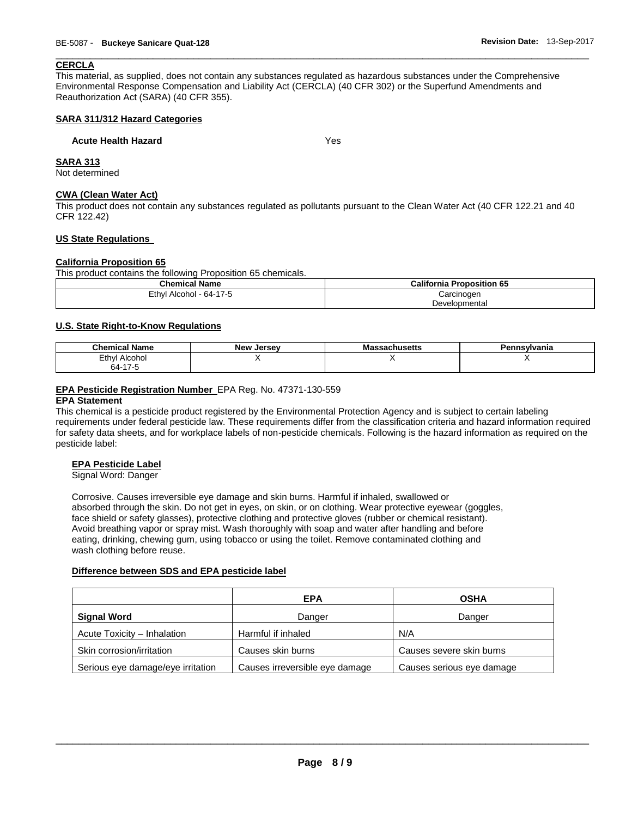# **CERCLA**

This material, as supplied, does not contain any substances regulated as hazardous substances under the Comprehensive Environmental Response Compensation and Liability Act (CERCLA) (40 CFR 302) or the Superfund Amendments and Reauthorization Act (SARA) (40 CFR 355).

\_\_\_\_\_\_\_\_\_\_\_\_\_\_\_\_\_\_\_\_\_\_\_\_\_\_\_\_\_\_\_\_\_\_\_\_\_\_\_\_\_\_\_\_\_\_\_\_\_\_\_\_\_\_\_\_\_\_\_\_\_\_\_\_\_\_\_\_\_\_\_\_\_\_\_\_\_\_\_\_\_\_\_\_\_\_\_\_\_\_\_\_\_

# **SARA 311/312 Hazard Categories**

# **Acute Health Hazard Yes**

**SARA 313**

Not determined

# **CWA (Clean Water Act)**

This product does not contain any substances regulated as pollutants pursuant to the Clean Water Act (40 CFR 122.21 and 40 CFR 122.42)

# **US State Regulations**

# **California Proposition 65**

This product contains the following Proposition 65 chemicals.

| <b>Chemical Name</b>            | <b>California Proposition 65</b> |
|---------------------------------|----------------------------------|
| l - 64-17-5<br>≟th∨l<br>Alcohol | Carcinogen                       |
|                                 | Developmental                    |

# **U.S. State Right-to-Know Regulations**

| .<br>Chemical<br>Name | <b>New Jersey</b> | 11 I C Atti<br>adtiluacua | าnsvlvania |
|-----------------------|-------------------|---------------------------|------------|
| Ethyl<br>Alcohol      |                   |                           |            |
| <b>^</b><br>64-       |                   |                           |            |

# **EPA Pesticide Registration Number** EPA Reg. No. 47371-130-559

#### **EPA Statement**

This chemical is a pesticide product registered by the Environmental Protection Agency and is subject to certain labeling requirements under federal pesticide law. These requirements differ from the classification criteria and hazard information required for safety data sheets, and for workplace labels of non-pesticide chemicals. Following is the hazard information as required on the pesticide label:

# **EPA Pesticide Label**

Signal Word: Danger

Corrosive. Causes irreversible eye damage and skin burns. Harmful if inhaled, swallowed or absorbed through the skin. Do not get in eyes, on skin, or on clothing. Wear protective eyewear (goggles, face shield or safety glasses), protective clothing and protective gloves (rubber or chemical resistant). Avoid breathing vapor or spray mist. Wash thoroughly with soap and water after handling and before eating, drinking, chewing gum, using tobacco or using the toilet. Remove contaminated clothing and wash clothing before reuse.

#### **Difference between SDS and EPA pesticide label**

|                                   | <b>EPA</b>                     | <b>OSHA</b>               |
|-----------------------------------|--------------------------------|---------------------------|
| Signal Word                       | Danger                         | Danger                    |
| Acute Toxicity - Inhalation       | Harmful if inhaled             | N/A                       |
| Skin corrosion/irritation         | Causes skin burns              | Causes severe skin burns  |
| Serious eye damage/eye irritation | Causes irreversible eye damage | Causes serious eye damage |